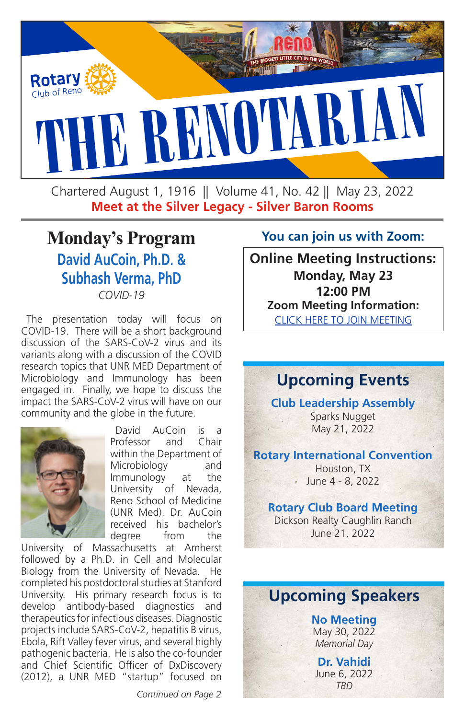

Chartered August 1, 1916 || Volume 41, No. 42 || May 23, 2022 **Meet at the Silver Legacy - Silver Baron Rooms**

# **Monday's Program David AuCoin, Ph.D. & Subhash Verma, PhD** *COVID-19*

The presentation today will focus on COVID-19. There will be a short background discussion of the SARS-CoV-2 virus and its variants along with a discussion of the COVID research topics that UNR MED Department of Microbiology and Immunology has been engaged in. Finally, we hope to discuss the impact the SARS-CoV-2 virus will have on our community and the globe in the future.



David AuCoin is a Professor and Chair within the Department of Microbiology and Immunology at the University of Nevada. Reno School of Medicine (UNR Med). Dr. AuCoin received his bachelor's degree from the

University of Massachusetts at Amherst followed by a Ph.D. in Cell and Molecular Biology from the University of Nevada. He completed his postdoctoral studies at Stanford University. His primary research focus is to develop antibody-based diagnostics and therapeutics for infectious diseases. Diagnostic projects include SARS-CoV-2, hepatitis B virus, Ebola, Rift Valley fever virus, and several highly pathogenic bacteria. He is also the co-founder and Chief Scientific Officer of DxDiscovery (2012), a UNR MED "startup" focused on

#### **You can join us with Zoom:**

**Online Meeting Instructions: Monday, May 23 12:00 PM Zoom Meeting Information:** [CLICK HERE TO JOIN MEETING](https://zoom.us/j/96358613870)

# **Upcoming Events**

**Club Leadership Assembly**

Sparks Nugget May 21, 2022

### **Rotary International Convention**

Houston, TX June 4 - 8, 2022

### **Rotary Club Board Meeting**

Dickson Realty Caughlin Ranch June 21, 2022

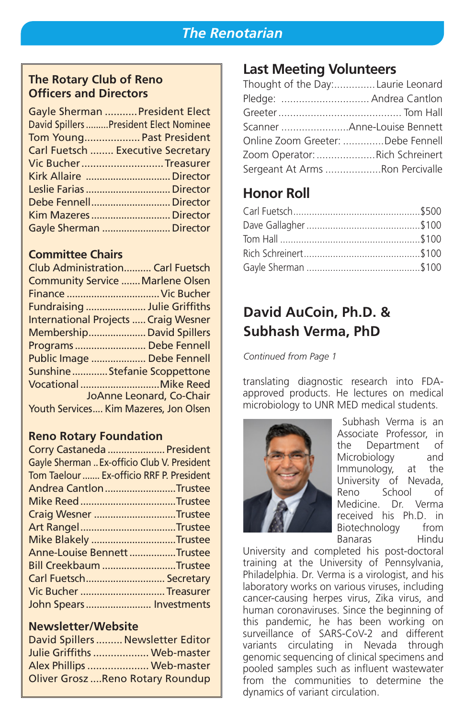### *The Renotarian*

### **The Rotary Club of Reno Officers and Directors**

| Gayle Sherman  President Elect          |
|-----------------------------------------|
| David Spillers  President Elect Nominee |
| Tom Young Past President                |
| Carl Fuetsch  Executive Secretary       |
| Vic BucherTreasurer                     |
|                                         |
| Leslie Farias  Director                 |
|                                         |
|                                         |
| Gayle Sherman  Director                 |

### **Committee Chairs**

| <b>Club Administration Carl Fuetsch</b> |                          |
|-----------------------------------------|--------------------------|
| Community Service  Marlene Olsen        |                          |
| Finance  Vic Bucher                     |                          |
| Fundraising  Julie Griffiths            |                          |
| International Projects  Craig Wesner    |                          |
| Membership David Spillers               |                          |
| Programs  Debe Fennell                  |                          |
| Public Image  Debe Fennell              |                          |
| SunshineStefanie Scoppettone            |                          |
|                                         |                          |
|                                         | JoAnne Leonard, Co-Chair |
| Youth Services Kim Mazeres, Jon Olsen   |                          |
|                                         |                          |

### **Reno Rotary Foundation**

| Corry Castaneda  President                  |
|---------------------------------------------|
| Gayle Sherman  Ex-officio Club V. President |
| Tom Taelour  Ex-officio RRF P. President    |
| Andrea Cantlon Trustee                      |
|                                             |
| Craig Wesner Trustee                        |
| Art RangelTrustee                           |
| Mike Blakely Trustee                        |
| Anne-Louise Bennett Trustee                 |
| Bill Creekbaum Trustee                      |
| Carl Fuetsch Secretary                      |
| Vic Bucher  Treasurer                       |
| John Spears Investments                     |

#### **Newsletter/Website**

| David Spillers  Newsletter Editor        |  |
|------------------------------------------|--|
| Julie Griffiths  Web-master              |  |
| Alex Phillips  Web-master                |  |
| <b>Oliver Grosz  Reno Rotary Roundup</b> |  |

### **Last Meeting Volunteers**

| Thought of the Day:Laurie Leonard |  |
|-----------------------------------|--|
| Pledge:  Andrea Cantlon           |  |
|                                   |  |
|                                   |  |
| Online Zoom Greeter: Debe Fennell |  |
| Zoom Operator: Rich Schreinert    |  |
| Sergeant At Arms Ron Percivalle   |  |

### **Honor Roll**

# **David AuCoin, Ph.D. & Subhash Verma, PhD**

*Continued from Page 1*

translating diagnostic research into FDAapproved products. He lectures on medical microbiology to UNR MED medical students.



Subhash Verma is an Associate Professor, in the Department of Microbiology and Immunology, at the University of Nevada, Reno School of Medicine. Dr. Verma received his Ph.D. in Biotechnology from Banaras Hindu

University and completed his post-doctoral training at the University of Pennsylvania, Philadelphia. Dr. Verma is a virologist, and his laboratory works on various viruses, including cancer-causing herpes virus, Zika virus, and human coronaviruses. Since the beginning of this pandemic, he has been working on surveillance of SARS-CoV-2 and different variants circulating in Nevada through genomic sequencing of clinical specimens and pooled samples such as influent wastewater from the communities to determine the dynamics of variant circulation.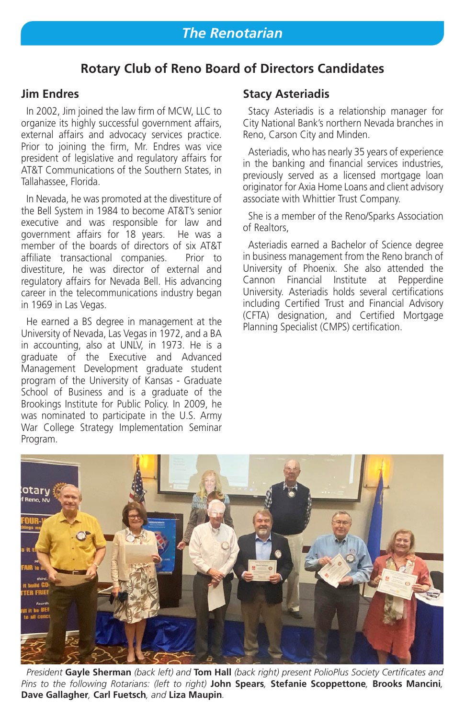### **Rotary Club of Reno Board of Directors Candidates**

### **Jim Endres**

In 2002, Jim joined the law firm of MCW, LLC to organize its highly successful government affairs, external affairs and advocacy services practice. Prior to joining the firm, Mr. Endres was vice president of legislative and regulatory affairs for AT&T Communications of the Southern States, in Tallahassee, Florida.

In Nevada, he was promoted at the divestiture of the Bell System in 1984 to become AT&T's senior executive and was responsible for law and government affairs for 18 years. He was a member of the boards of directors of six AT&T affiliate transactional companies. Prior to divestiture, he was director of external and regulatory affairs for Nevada Bell. His advancing career in the telecommunications industry began in 1969 in Las Vegas.

He earned a BS degree in management at the University of Nevada, Las Vegas in 1972, and a BA in accounting, also at UNLV, in 1973. He is a graduate of the Executive and Advanced Management Development graduate student program of the University of Kansas - Graduate School of Business and is a graduate of the Brookings Institute for Public Policy. In 2009, he was nominated to participate in the U.S. Army War College Strategy Implementation Seminar Program.

#### **Stacy Asteriadis**

Stacy Asteriadis is a relationship manager for City National Bank's northern Nevada branches in Reno, Carson City and Minden.

Asteriadis, who has nearly 35 years of experience in the banking and financial services industries, previously served as a licensed mortgage loan originator for Axia Home Loans and client advisory associate with Whittier Trust Company.

She is a member of the Reno/Sparks Association of Realtors,

Asteriadis earned a Bachelor of Science degree in business management from the Reno branch of University of Phoenix. She also attended the Cannon Financial Institute at Pepperdine University. Asteriadis holds several certifications including Certified Trust and Financial Advisory (CFTA) designation, and Certified Mortgage Planning Specialist (CMPS) certification.



*President* **Gayle Sherman** *(back left) and* **Tom Hall** *(back right) present PolioPlus Society Certificates and Pins to the following Rotarians: (left to right)* **John Spears***,* **Stefanie Scoppettone***,* **Brooks Mancini***,*  **Dave Gallagher***,* **Carl Fuetsch***, and* **Liza Maupin***.*